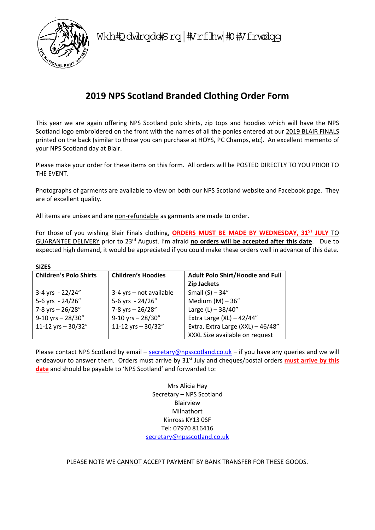

# **2019 NPS Scotland Branded Clothing Order Form**

This year we are again offering NPS Scotland polo shirts, zip tops and hoodies which will have the NPS Scotland logo embroidered on the front with the names of all the ponies entered at our 2019 BLAIR FINALS printed on the back (similar to those you can purchase at HOYS, PC Champs, etc). An excellent memento of your NPS Scotland day at Blair.

Please make your order for these items on this form. All orders will be POSTED DIRECTLY TO YOU PRIOR TO THE EVENT.

Photographs of garments are available to view on both our NPS Scotland website and Facebook page. They are of excellent quality.

All items are unisex and are non-refundable as garments are made to order.

For those of you wishing Blair Finals clothing, ORDERS MUST BE MADE BY WEDNESDAY, 31<sup>ST</sup> JULY TO GUARANTEE DELIVERY prior to 23rd August. I'm afraid **no orders will be accepted after this date**. Due to expected high demand, it would be appreciated if you could make these orders well in advance of this date.

| <b>SIZES</b>                  |                           |                                         |  |
|-------------------------------|---------------------------|-----------------------------------------|--|
| <b>Children's Polo Shirts</b> | <b>Children's Hoodies</b> | <b>Adult Polo Shirt/Hoodie and Full</b> |  |
|                               |                           | <b>Zip Jackets</b>                      |  |
| 3-4 yrs - $22/24''$           | 3-4 yrs - not available   | Small $(S)$ - 34"                       |  |
| 5-6 yrs - 24/26"              | 5-6 yrs - 24/26"          | Medium $(M) - 36''$                     |  |
| 7-8 yrs $- 26/28''$           | 7-8 yrs $- 26/28''$       | Large (L) $-38/40"$                     |  |
| $9-10$ yrs - 28/30"           | $9-10$ yrs - 28/30"       | Extra Large $(XL) - 42/44"$             |  |
| 11-12 yrs $-30/32"$           | 11-12 yrs $-30/32"$       | Extra, Extra Large (XXL) - 46/48"       |  |
|                               |                           | XXXL Size available on request          |  |

Please contact NPS Scotland by email – secretary@npsscotland.co.uk – if you have any queries and we will endeavour to answer them. Orders must arrive by 31<sup>st</sup> July and cheques/postal orders **must arrive by this date** and should be payable to 'NPS Scotland' and forwarded to:

> Mrs Alicia Hay Secretary – NPS Scotland Blairview Milnathort Kinross KY13 0SF Tel: 07970 816416 secretary@npsscotland.co.uk

PLEASE NOTE WE CANNOT ACCEPT PAYMENT BY BANK TRANSFER FOR THESE GOODS.